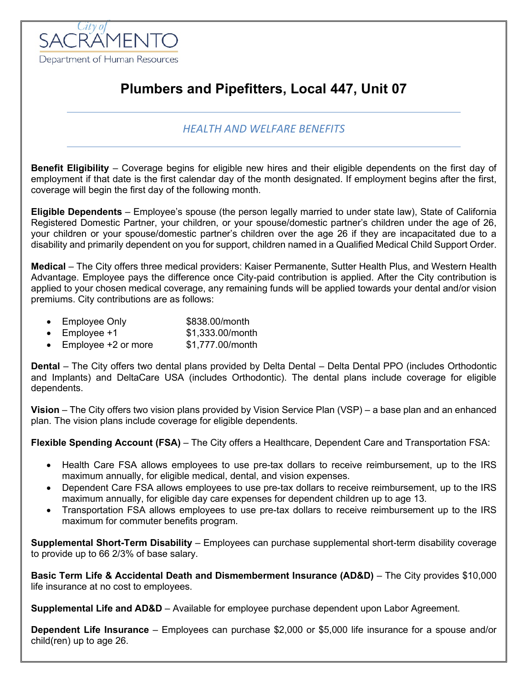

## **Plumbers and Pipefitters, Local 447, Unit 07**

## *HEALTH AND WELFARE BENEFITS*

**Benefit Eligibility** – Coverage begins for eligible new hires and their eligible dependents on the first day of employment if that date is the first calendar day of the month designated. If employment begins after the first, coverage will begin the first day of the following month.

**Eligible Dependents** – Employee's spouse (the person legally married to under state law), State of California Registered Domestic Partner, your children, or your spouse/domestic partner's children under the age of 26, your children or your spouse/domestic partner's children over the age 26 if they are incapacitated due to a disability and primarily dependent on you for support, children named in a Qualified Medical Child Support Order.

**Medical** – The City offers three medical providers: Kaiser Permanente, Sutter Health Plus, and Western Health Advantage. Employee pays the difference once City-paid contribution is applied. After the City contribution is applied to your chosen medical coverage, any remaining funds will be applied towards your dental and/or vision premiums. City contributions are as follows:

- Employee Only \$838.00/month
- Employee  $+1$  \$1,333,00/month
- Employee +2 or more \$1,777.00/month

**Dental** – The City offers two dental plans provided by Delta Dental – Delta Dental PPO (includes Orthodontic and Implants) and DeltaCare USA (includes Orthodontic). The dental plans include coverage for eligible dependents.

**Vision** – The City offers two vision plans provided by Vision Service Plan (VSP) – a base plan and an enhanced plan. The vision plans include coverage for eligible dependents.

**Flexible Spending Account (FSA)** – The City offers a Healthcare, Dependent Care and Transportation FSA:

- Health Care FSA allows employees to use pre-tax dollars to receive reimbursement, up to the IRS maximum annually, for eligible medical, dental, and vision expenses.
- Dependent Care FSA allows employees to use pre-tax dollars to receive reimbursement, up to the IRS maximum annually, for eligible day care expenses for dependent children up to age 13.
- Transportation FSA allows employees to use pre-tax dollars to receive reimbursement up to the IRS maximum for commuter benefits program.

**Supplemental Short-Term Disability** – Employees can purchase supplemental short-term disability coverage to provide up to 66 2/3% of base salary.

**Basic Term Life & Accidental Death and Dismemberment Insurance (AD&D)** – The City provides \$10,000 life insurance at no cost to employees.

**Supplemental Life and AD&D** – Available for employee purchase dependent upon Labor Agreement.

**Dependent Life Insurance** – Employees can purchase \$2,000 or \$5,000 life insurance for a spouse and/or child(ren) up to age 26.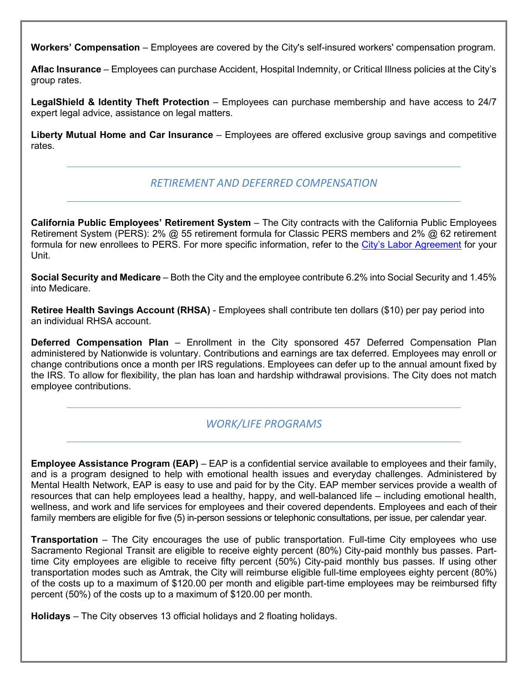**Workers' Compensation** – Employees are covered by the City's self-insured workers' compensation program.

**Aflac Insurance** – Employees can purchase Accident, Hospital Indemnity, or Critical Illness policies at the City's group rates.

**LegalShield & Identity Theft Protection** – Employees can purchase membership and have access to 24/7 expert legal advice, assistance on legal matters.

**Liberty Mutual Home and Car Insurance** – Employees are offered exclusive group savings and competitive rates.

## *RETIREMENT AND DEFERRED COMPENSATION*

**California Public Employees' Retirement System** – The City contracts with the California Public Employees Retirement System (PERS): 2% @ 55 retirement formula for Classic PERS members and 2% @ 62 retirement formula for new enrollees to PERS. For more specific information, refer to the [City's Labor Agreement](http://www.cityofsacramento.org/HR/Divisions/Labor-Relations/Labor-Agreements) for your Unit.

**Social Security and Medicare** – Both the City and the employee contribute 6.2% into Social Security and 1.45% into Medicare.

**Retiree Health Savings Account (RHSA)** - Employees shall contribute ten dollars (\$10) per pay period into an individual RHSA account.

**Deferred Compensation Plan** – Enrollment in the City sponsored 457 Deferred Compensation Plan administered by Nationwide is voluntary. Contributions and earnings are tax deferred. Employees may enroll or change contributions once a month per IRS regulations. Employees can defer up to the annual amount fixed by the IRS. To allow for flexibility, the plan has loan and hardship withdrawal provisions. The City does not match employee contributions.

## *WORK/LIFE PROGRAMS*

**Employee Assistance Program (EAP)** – EAP is a confidential service available to employees and their family, and is a program designed to help with emotional health issues and everyday challenges. Administered by Mental Health Network, EAP is easy to use and paid for by the City. EAP member services provide a wealth of resources that can help employees lead a healthy, happy, and well-balanced life – including emotional health, wellness, and work and life services for employees and their covered dependents. Employees and each of their family members are eligible for five (5) in-person sessions or telephonic consultations, per issue, per calendar year.

**Transportation** – The City encourages the use of public transportation. Full-time City employees who use Sacramento Regional Transit are eligible to receive eighty percent (80%) City-paid monthly bus passes. Parttime City employees are eligible to receive fifty percent (50%) City-paid monthly bus passes. If using other transportation modes such as Amtrak, the City will reimburse eligible full-time employees eighty percent (80%) of the costs up to a maximum of \$120.00 per month and eligible part-time employees may be reimbursed fifty percent (50%) of the costs up to a maximum of \$120.00 per month.

**Holidays** – The City observes 13 official holidays and 2 floating holidays.